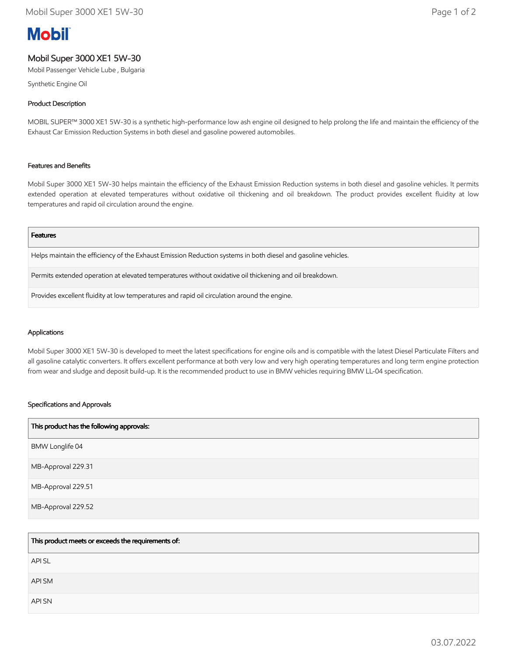# **Mobil**

## Mobil Super 3000 XE1 5W-30

Mobil Passenger Vehicle Lube , Bulgaria

Synthetic Engine Oil

### Product Description

MOBIL SUPER™ 3000 XE1 5W-30 is a synthetic high-performance low ash engine oil designed to help prolong the life and maintain the efficiency of the Exhaust Car Emission Reduction Systems in both diesel and gasoline powered automobiles.

#### Features and Benefits

Mobil Super 3000 XE1 5W-30 helps maintain the efficiency of the Exhaust Emission Reduction systems in both diesel and gasoline vehicles. It permits extended operation at elevated temperatures without oxidative oil thickening and oil breakdown. The product provides excellent fluidity at low temperatures and rapid oil circulation around the engine.

#### Features

Helps maintain the efficiency of the Exhaust Emission Reduction systems in both diesel and gasoline vehicles.

Permits extended operation at elevated temperatures without oxidative oil thickening and oil breakdown.

Provides excellent fluidity at low temperatures and rapid oil circulation around the engine.

#### Applications

Mobil Super 3000 XE1 5W-30 is developed to meet the latest specifications for engine oils and is compatible with the latest Diesel Particulate Filters and all gasoline catalytic converters. It offers excellent performance at both very low and very high operating temperatures and long term engine protection from wear and sludge and deposit build-up. It is the recommended product to use in BMW vehicles requiring BMW LL-04 specification.

#### Specifications and Approvals

| This product has the following approvals: |
|-------------------------------------------|
| BMW Longlife 04                           |
| MB-Approval 229.31                        |
| MB-Approval 229.51                        |
| MB-Approval 229.52                        |

| This product meets or exceeds the requirements of: |
|----------------------------------------------------|
| <b>APISL</b>                                       |
| API SM                                             |
| API SN                                             |